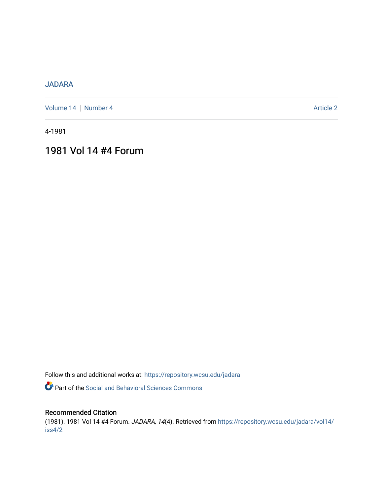### [JADARA](https://repository.wcsu.edu/jadara)

[Volume 14](https://repository.wcsu.edu/jadara/vol14) | [Number 4](https://repository.wcsu.edu/jadara/vol14/iss4) Article 2

4-1981

# 1981 Vol 14 #4 Forum

Follow this and additional works at: [https://repository.wcsu.edu/jadara](https://repository.wcsu.edu/jadara?utm_source=repository.wcsu.edu%2Fjadara%2Fvol14%2Fiss4%2F2&utm_medium=PDF&utm_campaign=PDFCoverPages)

Part of the [Social and Behavioral Sciences Commons](http://network.bepress.com/hgg/discipline/316?utm_source=repository.wcsu.edu%2Fjadara%2Fvol14%2Fiss4%2F2&utm_medium=PDF&utm_campaign=PDFCoverPages) 

### Recommended Citation

(1981). 1981 Vol 14 #4 Forum. JADARA, 14(4). Retrieved from [https://repository.wcsu.edu/jadara/vol14/](https://repository.wcsu.edu/jadara/vol14/iss4/2?utm_source=repository.wcsu.edu%2Fjadara%2Fvol14%2Fiss4%2F2&utm_medium=PDF&utm_campaign=PDFCoverPages) [iss4/2](https://repository.wcsu.edu/jadara/vol14/iss4/2?utm_source=repository.wcsu.edu%2Fjadara%2Fvol14%2Fiss4%2F2&utm_medium=PDF&utm_campaign=PDFCoverPages)